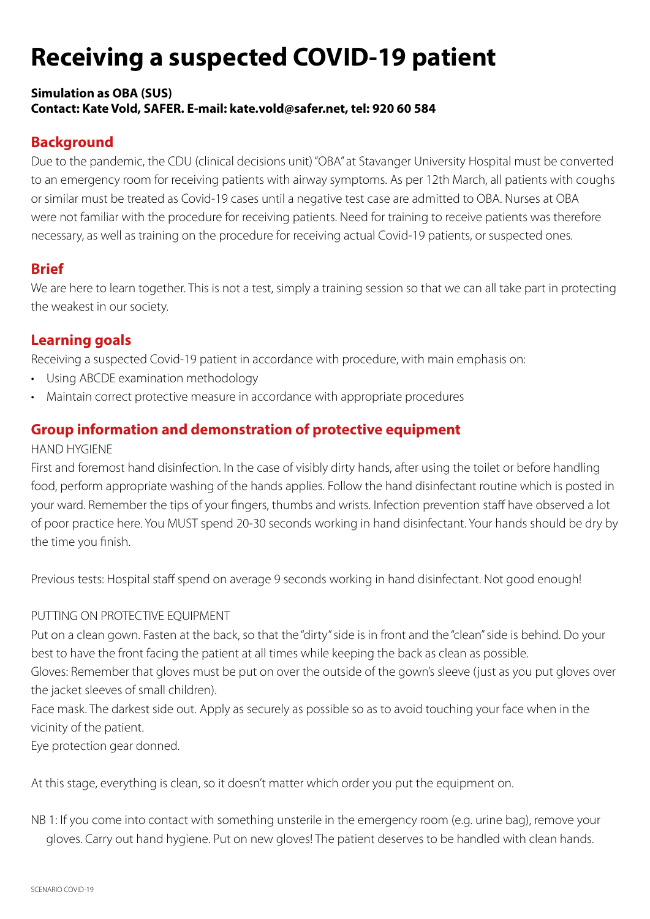# **Receiving a suspected COVID-19 patient**

### **Simulation as OBA (SUS) Contact: Kate Vold, SAFER. E-mail: kate.vold@safer.net, tel: 920 60 584**

# **Background**

Due to the pandemic, the CDU (clinical decisions unit) "OBA" at Stavanger University Hospital must be converted to an emergency room for receiving patients with airway symptoms. As per 12th March, all patients with coughs or similar must be treated as Covid-19 cases until a negative test case are admitted to OBA. Nurses at OBA were not familiar with the procedure for receiving patients. Need for training to receive patients was therefore necessary, as well as training on the procedure for receiving actual Covid-19 patients, or suspected ones.

## **Brief**

We are here to learn together. This is not a test, simply a training session so that we can all take part in protecting the weakest in our society.

# **Learning goals**

Receiving a suspected Covid-19 patient in accordance with procedure, with main emphasis on:

- Using ABCDE examination methodology
- Maintain correct protective measure in accordance with appropriate procedures

# **Group information and demonstration of protective equipment**

## HAND HYGIENE

First and foremost hand disinfection. In the case of visibly dirty hands, after using the toilet or before handling food, perform appropriate washing of the hands applies. Follow the hand disinfectant routine which is posted in your ward. Remember the tips of your fingers, thumbs and wrists. Infection prevention staff have observed a lot of poor practice here. You MUST spend 20-30 seconds working in hand disinfectant. Your hands should be dry by the time you finish.

Previous tests: Hospital staff spend on average 9 seconds working in hand disinfectant. Not good enough!

## PUTTING ON PROTECTIVE EQUIPMENT

Put on a clean gown. Fasten at the back, so that the "dirty" side is in front and the "clean" side is behind. Do your best to have the front facing the patient at all times while keeping the back as clean as possible.

Gloves: Remember that gloves must be put on over the outside of the gown's sleeve (just as you put gloves over the jacket sleeves of small children).

Face mask. The darkest side out. Apply as securely as possible so as to avoid touching your face when in the vicinity of the patient.

Eye protection gear donned.

At this stage, everything is clean, so it doesn't matter which order you put the equipment on.

NB 1: If you come into contact with something unsterile in the emergency room (e.g. urine bag), remove your gloves. Carry out hand hygiene. Put on new gloves! The patient deserves to be handled with clean hands.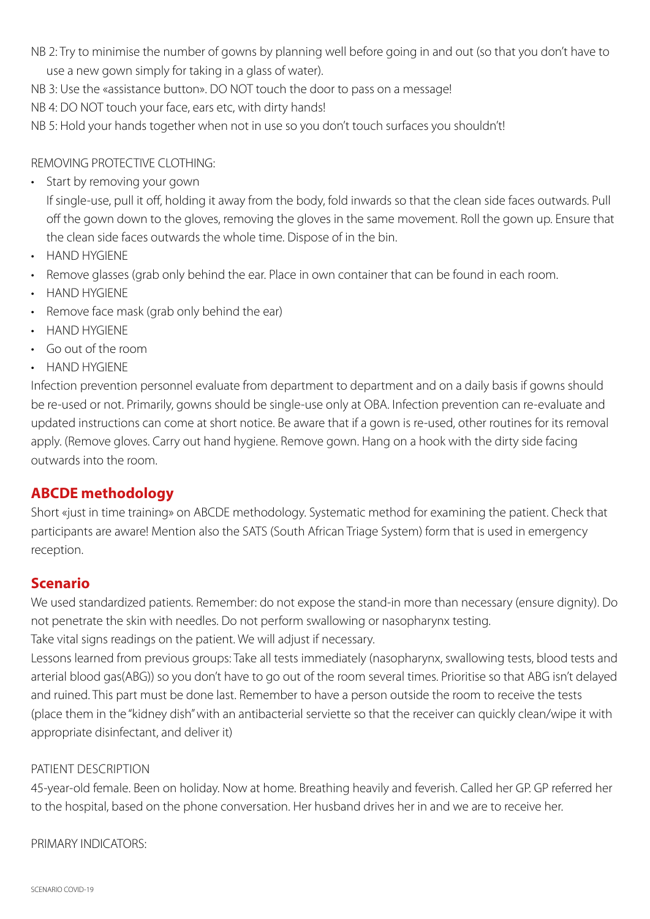- NB 2: Try to minimise the number of gowns by planning well before going in and out (so that you don't have to use a new gown simply for taking in a glass of water).
- NB 3: Use the «assistance button». DO NOT touch the door to pass on a message!
- NB 4: DO NOT touch your face, ears etc, with dirty hands!
- NB 5: Hold your hands together when not in use so you don't touch surfaces you shouldn't!

#### REMOVING PROTECTIVE CLOTHING:

• Start by removing your gown

If single-use, pull it off, holding it away from the body, fold inwards so that the clean side faces outwards. Pull off the gown down to the gloves, removing the gloves in the same movement. Roll the gown up. Ensure that the clean side faces outwards the whole time. Dispose of in the bin.

- HAND HYGIENE
- Remove glasses (grab only behind the ear. Place in own container that can be found in each room.
- HAND HYGIENE
- Remove face mask (grab only behind the ear)
- HAND HYGIENE
- Go out of the room
- HAND HYGIENE

Infection prevention personnel evaluate from department to department and on a daily basis if gowns should be re-used or not. Primarily, gowns should be single-use only at OBA. Infection prevention can re-evaluate and updated instructions can come at short notice. Be aware that if a gown is re-used, other routines for its removal apply. (Remove gloves. Carry out hand hygiene. Remove gown. Hang on a hook with the dirty side facing outwards into the room.

## **ABCDE methodology**

Short «just in time training» on ABCDE methodology. Systematic method for examining the patient. Check that participants are aware! Mention also the SATS (South African Triage System) form that is used in emergency reception.

## **Scenario**

We used standardized patients. Remember: do not expose the stand-in more than necessary (ensure dignity). Do not penetrate the skin with needles. Do not perform swallowing or nasopharynx testing.

Take vital signs readings on the patient. We will adjust if necessary.

Lessons learned from previous groups: Take all tests immediately (nasopharynx, swallowing tests, blood tests and arterial blood gas(ABG)) so you don't have to go out of the room several times. Prioritise so that ABG isn't delayed and ruined. This part must be done last. Remember to have a person outside the room to receive the tests (place them in the "kidney dish" with an antibacterial serviette so that the receiver can quickly clean/wipe it with appropriate disinfectant, and deliver it)

#### PATIENT DESCRIPTION

45-year-old female. Been on holiday. Now at home. Breathing heavily and feverish. Called her GP. GP referred her to the hospital, based on the phone conversation. Her husband drives her in and we are to receive her.

PRIMARY INDICATORS: